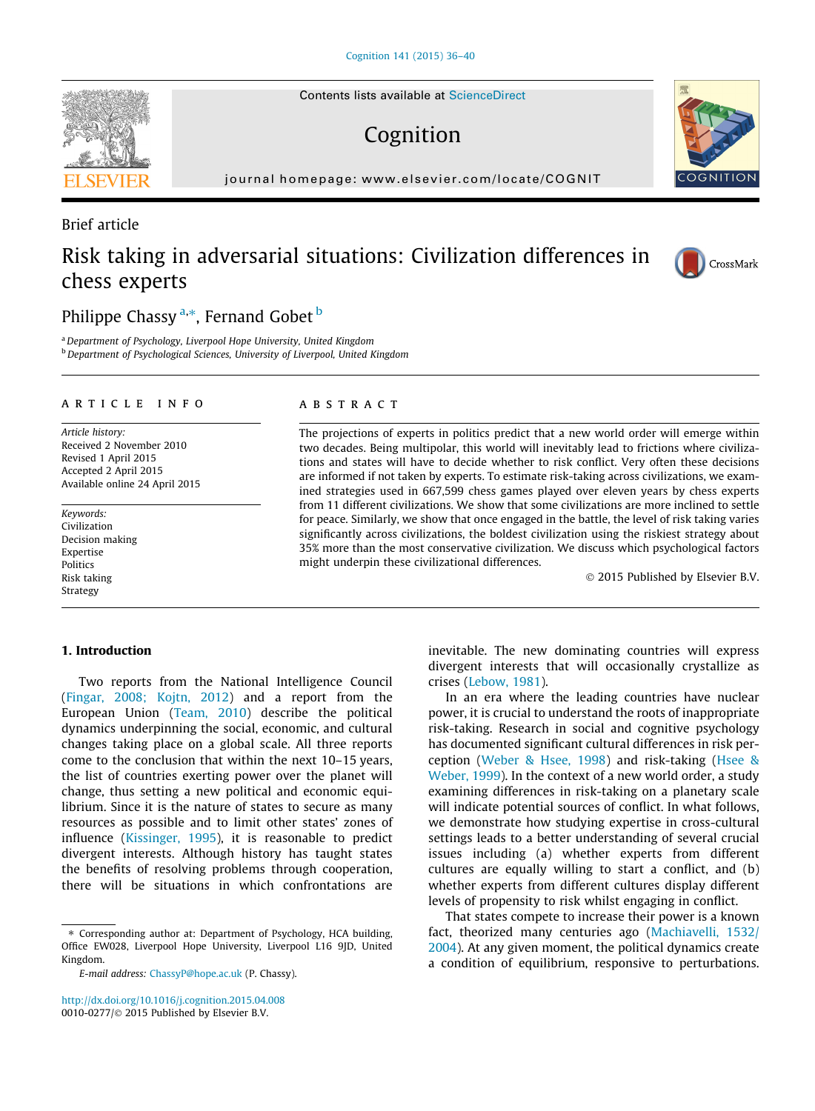Contents lists available at [ScienceDirect](http://www.sciencedirect.com/science/journal/00100277)

# Cognition

journal homepage: [www.elsevier.com/locate/COGNIT](http://www.elsevier.com/locate/COGNIT)

# Brief article

# Risk taking in adversarial situations: Civilization differences in chess experts

# Philippe Chassy <sup>a,\*</sup>, Fernand Gobet <sup>b</sup>

a Department of Psychology, Liverpool Hope University, United Kingdom **b** Department of Psychological Sciences, University of Liverpool, United Kingdom

### article info

Article history: Received 2 November 2010 Revised 1 April 2015 Accepted 2 April 2015 Available online 24 April 2015

Keywords: Civilization Decision making Expertise **Politics** Risk taking Strategy

# ABSTRACT

The projections of experts in politics predict that a new world order will emerge within two decades. Being multipolar, this world will inevitably lead to frictions where civilizations and states will have to decide whether to risk conflict. Very often these decisions are informed if not taken by experts. To estimate risk-taking across civilizations, we examined strategies used in 667,599 chess games played over eleven years by chess experts from 11 different civilizations. We show that some civilizations are more inclined to settle for peace. Similarly, we show that once engaged in the battle, the level of risk taking varies significantly across civilizations, the boldest civilization using the riskiest strategy about 35% more than the most conservative civilization. We discuss which psychological factors might underpin these civilizational differences.

© 2015 Published by Elsevier B.V.

# 1. Introduction

Two reports from the National Intelligence Council [\(Fingar, 2008; Kojtn, 2012](#page-4-0)) and a report from the European Union [\(Team, 2010\)](#page-4-0) describe the political dynamics underpinning the social, economic, and cultural changes taking place on a global scale. All three reports come to the conclusion that within the next 10–15 years, the list of countries exerting power over the planet will change, thus setting a new political and economic equilibrium. Since it is the nature of states to secure as many resources as possible and to limit other states' zones of influence [\(Kissinger, 1995\)](#page-4-0), it is reasonable to predict divergent interests. Although history has taught states the benefits of resolving problems through cooperation, there will be situations in which confrontations are

<http://dx.doi.org/10.1016/j.cognition.2015.04.008> 0010-0277/© 2015 Published by Elsevier B.V.

inevitable. The new dominating countries will express divergent interests that will occasionally crystallize as crises [\(Lebow, 1981](#page-4-0)).

In an era where the leading countries have nuclear power, it is crucial to understand the roots of inappropriate risk-taking. Research in social and cognitive psychology has documented significant cultural differences in risk perception ([Weber & Hsee, 1998\)](#page-4-0) and risk-taking [\(Hsee &](#page-4-0) [Weber, 1999](#page-4-0)). In the context of a new world order, a study examining differences in risk-taking on a planetary scale will indicate potential sources of conflict. In what follows, we demonstrate how studying expertise in cross-cultural settings leads to a better understanding of several crucial issues including (a) whether experts from different cultures are equally willing to start a conflict, and (b) whether experts from different cultures display different levels of propensity to risk whilst engaging in conflict.

That states compete to increase their power is a known fact, theorized many centuries ago [\(Machiavelli, 1532/](#page-4-0) [2004](#page-4-0)). At any given moment, the political dynamics create a condition of equilibrium, responsive to perturbations.







<sup>⇑</sup> Corresponding author at: Department of Psychology, HCA building, Office EW028, Liverpool Hope University, Liverpool L16 9JD, United Kingdom.

E-mail address: [ChassyP@hope.ac.uk](mailto:ChassyP@hope.ac.uk) (P. Chassy).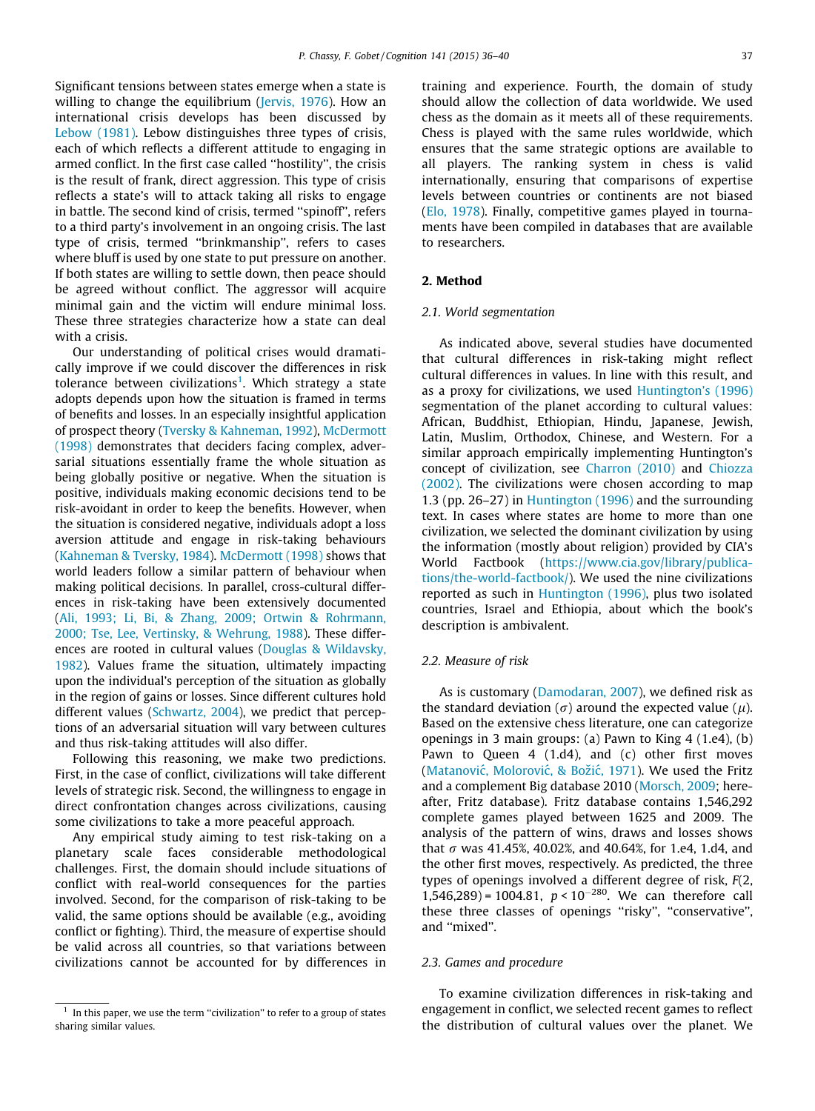Significant tensions between states emerge when a state is willing to change the equilibrium [\(Jervis, 1976](#page-4-0)). How an international crisis develops has been discussed by [Lebow \(1981\)](#page-4-0). Lebow distinguishes three types of crisis, each of which reflects a different attitude to engaging in armed conflict. In the first case called ''hostility'', the crisis is the result of frank, direct aggression. This type of crisis reflects a state's will to attack taking all risks to engage in battle. The second kind of crisis, termed ''spinoff'', refers to a third party's involvement in an ongoing crisis. The last type of crisis, termed ''brinkmanship'', refers to cases where bluff is used by one state to put pressure on another. If both states are willing to settle down, then peace should be agreed without conflict. The aggressor will acquire minimal gain and the victim will endure minimal loss. These three strategies characterize how a state can deal with a crisis.

Our understanding of political crises would dramatically improve if we could discover the differences in risk tolerance between civilizations<sup>1</sup>. Which strategy a state adopts depends upon how the situation is framed in terms of benefits and losses. In an especially insightful application of prospect theory ([Tversky & Kahneman, 1992](#page-4-0)), [McDermott](#page-4-0) [\(1998\)](#page-4-0) demonstrates that deciders facing complex, adversarial situations essentially frame the whole situation as being globally positive or negative. When the situation is positive, individuals making economic decisions tend to be risk-avoidant in order to keep the benefits. However, when the situation is considered negative, individuals adopt a loss aversion attitude and engage in risk-taking behaviours ([Kahneman & Tversky, 1984\)](#page-4-0). [McDermott \(1998\)](#page-4-0) shows that world leaders follow a similar pattern of behaviour when making political decisions. In parallel, cross-cultural differences in risk-taking have been extensively documented ([Ali, 1993; Li, Bi, & Zhang, 2009; Ortwin & Rohrmann,](#page-4-0) [2000; Tse, Lee, Vertinsky, & Wehrung, 1988\)](#page-4-0). These differences are rooted in cultural values ([Douglas & Wildavsky,](#page-4-0) [1982](#page-4-0)). Values frame the situation, ultimately impacting upon the individual's perception of the situation as globally in the region of gains or losses. Since different cultures hold different values ([Schwartz, 2004](#page-4-0)), we predict that perceptions of an adversarial situation will vary between cultures and thus risk-taking attitudes will also differ.

Following this reasoning, we make two predictions. First, in the case of conflict, civilizations will take different levels of strategic risk. Second, the willingness to engage in direct confrontation changes across civilizations, causing some civilizations to take a more peaceful approach.

Any empirical study aiming to test risk-taking on a planetary scale faces considerable methodological challenges. First, the domain should include situations of conflict with real-world consequences for the parties involved. Second, for the comparison of risk-taking to be valid, the same options should be available (e.g., avoiding conflict or fighting). Third, the measure of expertise should be valid across all countries, so that variations between civilizations cannot be accounted for by differences in training and experience. Fourth, the domain of study should allow the collection of data worldwide. We used chess as the domain as it meets all of these requirements. Chess is played with the same rules worldwide, which ensures that the same strategic options are available to all players. The ranking system in chess is valid internationally, ensuring that comparisons of expertise levels between countries or continents are not biased [\(Elo, 1978\)](#page-4-0). Finally, competitive games played in tournaments have been compiled in databases that are available to researchers.

# 2. Method

### 2.1. World segmentation

As indicated above, several studies have documented that cultural differences in risk-taking might reflect cultural differences in values. In line with this result, and as a proxy for civilizations, we used [Huntington's \(1996\)](#page-4-0) segmentation of the planet according to cultural values: African, Buddhist, Ethiopian, Hindu, Japanese, Jewish, Latin, Muslim, Orthodox, Chinese, and Western. For a similar approach empirically implementing Huntington's concept of civilization, see [Charron \(2010\)](#page-4-0) and [Chiozza](#page-4-0) [\(2002\).](#page-4-0) The civilizations were chosen according to map 1.3 (pp. 26–27) in [Huntington \(1996\)](#page-4-0) and the surrounding text. In cases where states are home to more than one civilization, we selected the dominant civilization by using the information (mostly about religion) provided by CIA's World Factbook [\(https://www.cia.gov/library/publica](https://www.cia.gov/library/publications/the-world-factbook/)[tions/the-world-factbook/\)](https://www.cia.gov/library/publications/the-world-factbook/). We used the nine civilizations reported as such in [Huntington \(1996\),](#page-4-0) plus two isolated countries, Israel and Ethiopia, about which the book's description is ambivalent.

## 2.2. Measure of risk

As is customary [\(Damodaran, 2007\)](#page-4-0), we defined risk as the standard deviation ( $\sigma$ ) around the expected value ( $\mu$ ). Based on the extensive chess literature, one can categorize openings in 3 main groups: (a) Pawn to King 4 (1.e4), (b) Pawn to Queen 4 (1.d4), and (c) other first moves (Matanović, Molorović, & Božić, 1971). We used the Fritz and a complement Big database 2010 [\(Morsch, 2009](#page-4-0); hereafter, Fritz database). Fritz database contains 1,546,292 complete games played between 1625 and 2009. The analysis of the pattern of wins, draws and losses shows that  $\sigma$  was 41.45%, 40.02%, and 40.64%, for 1.e4, 1.d4, and the other first moves, respectively. As predicted, the three types of openings involved a different degree of risk, F(2, 1,546,289) = 1004.81,  $p < 10^{-280}$ . We can therefore call these three classes of openings ''risky'', ''conservative'', and ''mixed''.

### 2.3. Games and procedure

To examine civilization differences in risk-taking and engagement in conflict, we selected recent games to reflect the distribution of cultural values over the planet. We

 $1$  In this paper, we use the term "civilization" to refer to a group of states sharing similar values.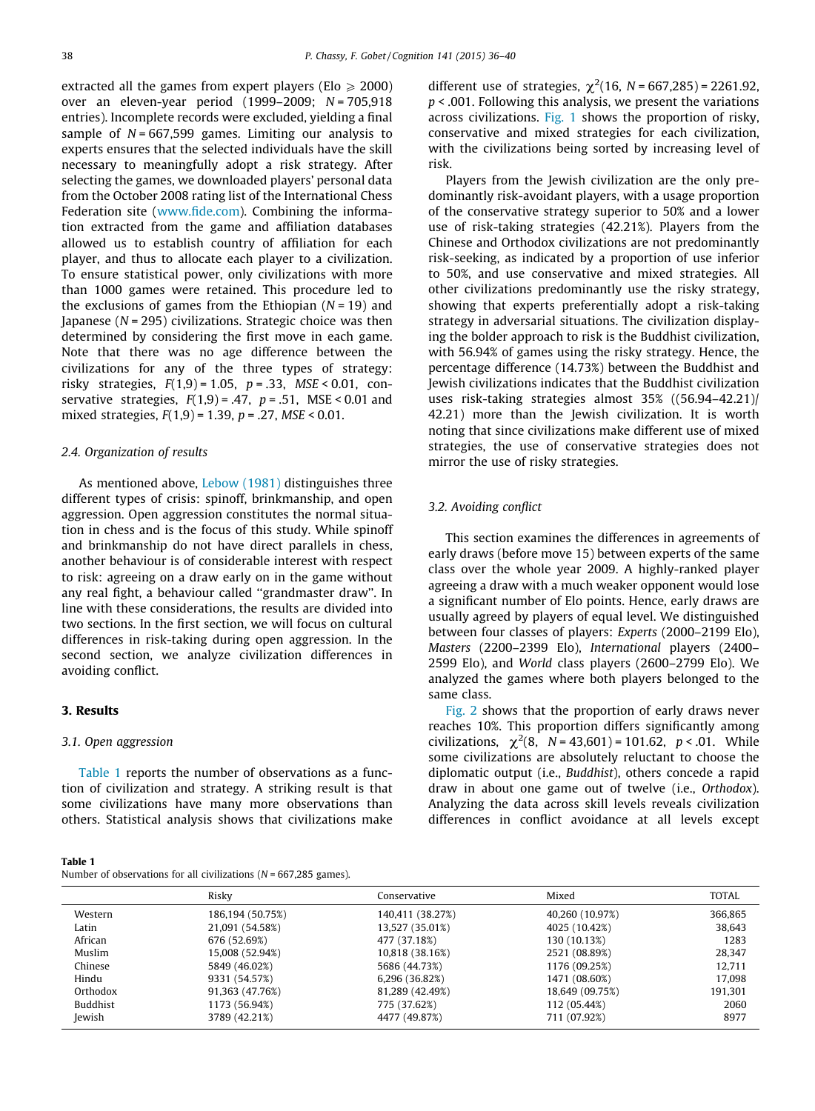extracted all the games from expert players (Elo  $\geq 2000$ ) over an eleven-year period (1999–2009; N = 705,918 entries). Incomplete records were excluded, yielding a final sample of  $N = 667,599$  games. Limiting our analysis to experts ensures that the selected individuals have the skill necessary to meaningfully adopt a risk strategy. After selecting the games, we downloaded players' personal data from the October 2008 rating list of the International Chess Federation site [\(www.fide.com](http://www.fide.com)). Combining the information extracted from the game and affiliation databases allowed us to establish country of affiliation for each player, and thus to allocate each player to a civilization. To ensure statistical power, only civilizations with more than 1000 games were retained. This procedure led to the exclusions of games from the Ethiopian  $(N = 19)$  and Japanese ( $N = 295$ ) civilizations. Strategic choice was then determined by considering the first move in each game. Note that there was no age difference between the civilizations for any of the three types of strategy: risky strategies,  $F(1,9) = 1.05$ ,  $p = .33$ ,  $MSE < 0.01$ , conservative strategies,  $F(1,9) = .47$ ,  $p = .51$ , MSE < 0.01 and mixed strategies,  $F(1,9) = 1.39$ ,  $p = .27$ ,  $MSE < 0.01$ .

#### 2.4. Organization of results

As mentioned above, [Lebow \(1981\)](#page-4-0) distinguishes three different types of crisis: spinoff, brinkmanship, and open aggression. Open aggression constitutes the normal situation in chess and is the focus of this study. While spinoff and brinkmanship do not have direct parallels in chess, another behaviour is of considerable interest with respect to risk: agreeing on a draw early on in the game without any real fight, a behaviour called ''grandmaster draw''. In line with these considerations, the results are divided into two sections. In the first section, we will focus on cultural differences in risk-taking during open aggression. In the second section, we analyze civilization differences in avoiding conflict.

### 3. Results

#### 3.1. Open aggression

Table 1 reports the number of observations as a function of civilization and strategy. A striking result is that some civilizations have many more observations than others. Statistical analysis shows that civilizations make

Table 1 Number of observations for all civilizations ( $N = 667,285$  games).

different use of strategies,  $\chi^2(16, N = 667, 285) = 2261.92$ ,  $p < .001$ . Following this analysis, we present the variations across civilizations. [Fig. 1](#page-3-0) shows the proportion of risky, conservative and mixed strategies for each civilization, with the civilizations being sorted by increasing level of risk.

Players from the Jewish civilization are the only predominantly risk-avoidant players, with a usage proportion of the conservative strategy superior to 50% and a lower use of risk-taking strategies (42.21%). Players from the Chinese and Orthodox civilizations are not predominantly risk-seeking, as indicated by a proportion of use inferior to 50%, and use conservative and mixed strategies. All other civilizations predominantly use the risky strategy, showing that experts preferentially adopt a risk-taking strategy in adversarial situations. The civilization displaying the bolder approach to risk is the Buddhist civilization, with 56.94% of games using the risky strategy. Hence, the percentage difference (14.73%) between the Buddhist and Jewish civilizations indicates that the Buddhist civilization uses risk-taking strategies almost 35% ((56.94–42.21)/ 42.21) more than the Jewish civilization. It is worth noting that since civilizations make different use of mixed strategies, the use of conservative strategies does not mirror the use of risky strategies.

## 3.2. Avoiding conflict

This section examines the differences in agreements of early draws (before move 15) between experts of the same class over the whole year 2009. A highly-ranked player agreeing a draw with a much weaker opponent would lose a significant number of Elo points. Hence, early draws are usually agreed by players of equal level. We distinguished between four classes of players: Experts (2000–2199 Elo), Masters (2200–2399 Elo), International players (2400– 2599 Elo), and World class players (2600–2799 Elo). We analyzed the games where both players belonged to the same class.

[Fig. 2](#page-3-0) shows that the proportion of early draws never reaches 10%. This proportion differs significantly among civilizations,  $\chi^2(8, N = 43,601) = 101.62, p < .01$ . While some civilizations are absolutely reluctant to choose the diplomatic output (i.e., Buddhist), others concede a rapid draw in about one game out of twelve (i.e., Orthodox). Analyzing the data across skill levels reveals civilization differences in conflict avoidance at all levels except

|          | Risky            | Conservative     | Mixed           | <b>TOTAL</b> |
|----------|------------------|------------------|-----------------|--------------|
| Western  | 186,194 (50,75%) | 140,411 (38.27%) | 40,260 (10.97%) | 366,865      |
| Latin    | 21,091 (54.58%)  | 13,527 (35.01%)  | 4025 (10.42%)   | 38,643       |
| African  | 676 (52.69%)     | 477 (37.18%)     | 130 (10.13%)    | 1283         |
| Muslim   | 15,008 (52.94%)  | 10,818 (38.16%)  | 2521 (08.89%)   | 28,347       |
| Chinese  | 5849 (46.02%)    | 5686 (44.73%)    | 1176 (09.25%)   | 12,711       |
| Hindu    | 9331 (54.57%)    | 6,296 (36.82%)   | 1471 (08.60%)   | 17.098       |
| Orthodox | 91,363 (47.76%)  | 81,289 (42.49%)  | 18,649 (09.75%) | 191.301      |
| Buddhist | 1173 (56.94%)    | 775 (37.62%)     | 112 (05.44%)    | 2060         |
| Jewish   | 3789 (42.21%)    | 4477 (49.87%)    | 711 (07.92%)    | 8977         |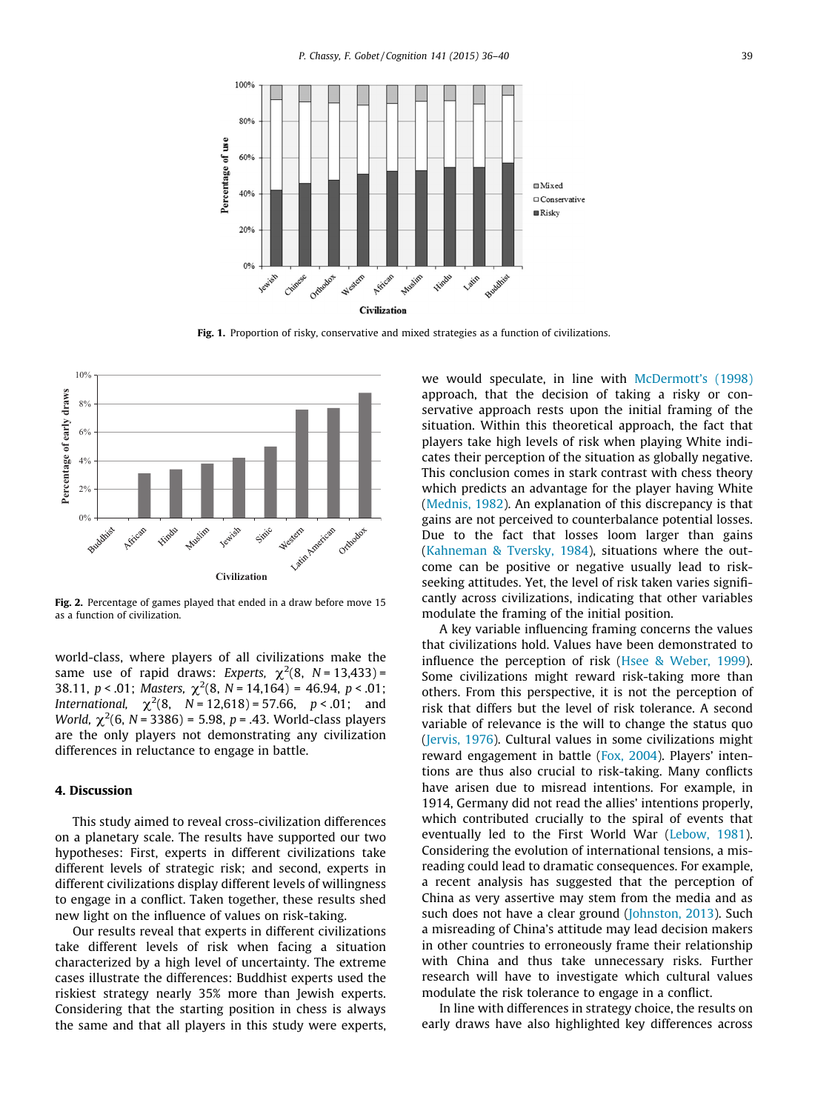<span id="page-3-0"></span>

Fig. 1. Proportion of risky, conservative and mixed strategies as a function of civilizations.



Fig. 2. Percentage of games played that ended in a draw before move 15 as a function of civilization.

world-class, where players of all civilizations make the same use of rapid draws: Experts,  $\chi^2(8, N = 13,433)$  = 38.11,  $p < .01$ ; Masters,  $\chi^2(8, N = 14, 164) = 46.94, p < .01$ ; International,  $\chi^2(8, N = 12,618) = 57.66, p < .01;$  and World,  $\chi^2(6, N = 3386) = 5.98$ , p = .43. World-class players are the only players not demonstrating any civilization differences in reluctance to engage in battle.

# 4. Discussion

This study aimed to reveal cross-civilization differences on a planetary scale. The results have supported our two hypotheses: First, experts in different civilizations take different levels of strategic risk; and second, experts in different civilizations display different levels of willingness to engage in a conflict. Taken together, these results shed new light on the influence of values on risk-taking.

Our results reveal that experts in different civilizations take different levels of risk when facing a situation characterized by a high level of uncertainty. The extreme cases illustrate the differences: Buddhist experts used the riskiest strategy nearly 35% more than Jewish experts. Considering that the starting position in chess is always the same and that all players in this study were experts, we would speculate, in line with [McDermott's \(1998\)](#page-4-0) approach, that the decision of taking a risky or conservative approach rests upon the initial framing of the situation. Within this theoretical approach, the fact that players take high levels of risk when playing White indicates their perception of the situation as globally negative. This conclusion comes in stark contrast with chess theory which predicts an advantage for the player having White [\(Mednis, 1982](#page-4-0)). An explanation of this discrepancy is that gains are not perceived to counterbalance potential losses. Due to the fact that losses loom larger than gains [\(Kahneman & Tversky, 1984](#page-4-0)), situations where the outcome can be positive or negative usually lead to riskseeking attitudes. Yet, the level of risk taken varies significantly across civilizations, indicating that other variables modulate the framing of the initial position.

A key variable influencing framing concerns the values that civilizations hold. Values have been demonstrated to influence the perception of risk [\(Hsee & Weber, 1999](#page-4-0)). Some civilizations might reward risk-taking more than others. From this perspective, it is not the perception of risk that differs but the level of risk tolerance. A second variable of relevance is the will to change the status quo [\(Jervis, 1976\)](#page-4-0). Cultural values in some civilizations might reward engagement in battle ([Fox, 2004](#page-4-0)). Players' intentions are thus also crucial to risk-taking. Many conflicts have arisen due to misread intentions. For example, in 1914, Germany did not read the allies' intentions properly, which contributed crucially to the spiral of events that eventually led to the First World War ([Lebow, 1981](#page-4-0)). Considering the evolution of international tensions, a misreading could lead to dramatic consequences. For example, a recent analysis has suggested that the perception of China as very assertive may stem from the media and as such does not have a clear ground [\(Johnston, 2013](#page-4-0)). Such a misreading of China's attitude may lead decision makers in other countries to erroneously frame their relationship with China and thus take unnecessary risks. Further research will have to investigate which cultural values modulate the risk tolerance to engage in a conflict.

In line with differences in strategy choice, the results on early draws have also highlighted key differences across